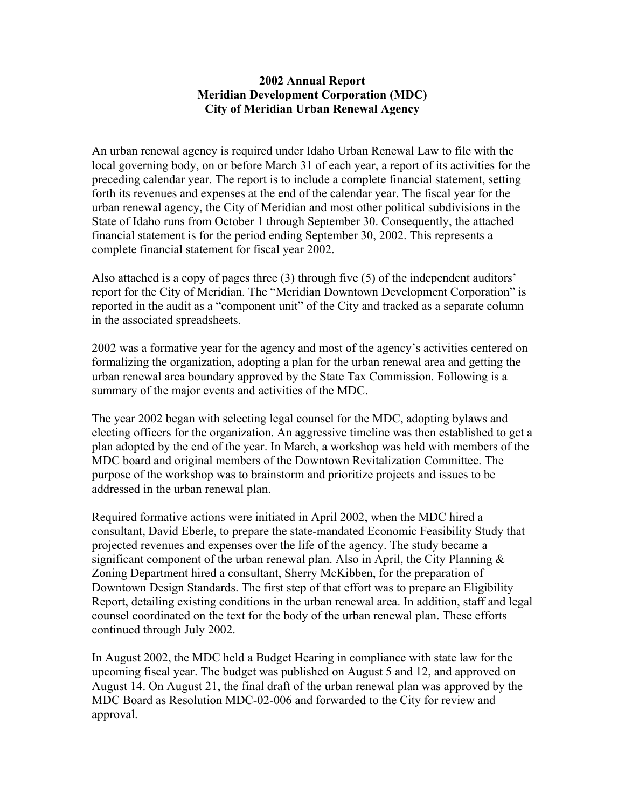## **2002 Annual Report Meridian Development Corporation (MDC) City of Meridian Urban Renewal Agency**

An urban renewal agency is required under Idaho Urban Renewal Law to file with the local governing body, on or before March 31 of each year, a report of its activities for the preceding calendar year. The report is to include a complete financial statement, setting forth its revenues and expenses at the end of the calendar year. The fiscal year for the urban renewal agency, the City of Meridian and most other political subdivisions in the State of Idaho runs from October 1 through September 30. Consequently, the attached financial statement is for the period ending September 30, 2002. This represents a complete financial statement for fiscal year 2002.

Also attached is a copy of pages three (3) through five (5) of the independent auditors' report for the City of Meridian. The "Meridian Downtown Development Corporation" is reported in the audit as a "component unit" of the City and tracked as a separate column in the associated spreadsheets.

2002 was a formative year for the agency and most of the agency's activities centered on formalizing the organization, adopting a plan for the urban renewal area and getting the urban renewal area boundary approved by the State Tax Commission. Following is a summary of the major events and activities of the MDC.

The year 2002 began with selecting legal counsel for the MDC, adopting bylaws and electing officers for the organization. An aggressive timeline was then established to get a plan adopted by the end of the year. In March, a workshop was held with members of the MDC board and original members of the Downtown Revitalization Committee. The purpose of the workshop was to brainstorm and prioritize projects and issues to be addressed in the urban renewal plan.

Required formative actions were initiated in April 2002, when the MDC hired a consultant, David Eberle, to prepare the state-mandated Economic Feasibility Study that projected revenues and expenses over the life of the agency. The study became a significant component of the urban renewal plan. Also in April, the City Planning  $\&$ Zoning Department hired a consultant, Sherry McKibben, for the preparation of Downtown Design Standards. The first step of that effort was to prepare an Eligibility Report, detailing existing conditions in the urban renewal area. In addition, staff and legal counsel coordinated on the text for the body of the urban renewal plan. These efforts continued through July 2002.

In August 2002, the MDC held a Budget Hearing in compliance with state law for the upcoming fiscal year. The budget was published on August 5 and 12, and approved on August 14. On August 21, the final draft of the urban renewal plan was approved by the MDC Board as Resolution MDC-02-006 and forwarded to the City for review and approval.